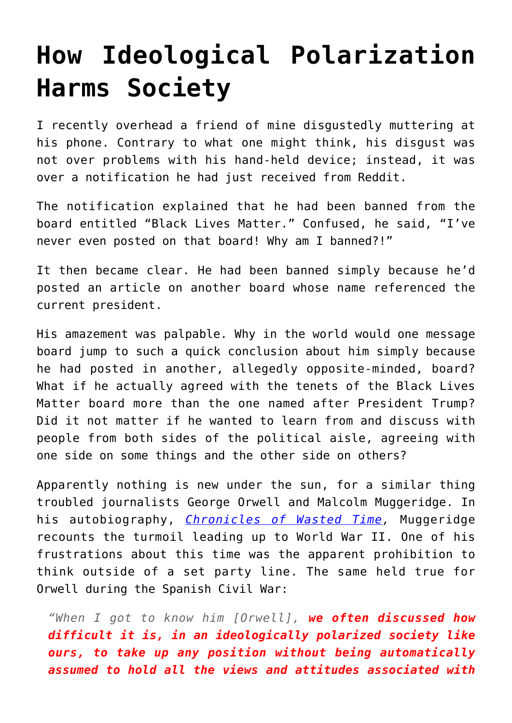## **[How Ideological Polarization](https://intellectualtakeout.org/2018/07/how-ideological-polarization-harms-society/) [Harms Society](https://intellectualtakeout.org/2018/07/how-ideological-polarization-harms-society/)**

I recently overhead a friend of mine disgustedly muttering at his phone. Contrary to what one might think, his disgust was not over problems with his hand-held device; instead, it was over a notification he had just received from Reddit.

The notification explained that he had been banned from the board entitled "Black Lives Matter." Confused, he said, "I've never even posted on that board! Why am I banned?!"

It then became clear. He had been banned simply because he'd posted an article on another board whose name referenced the current president.

His amazement was palpable. Why in the world would one message board jump to such a quick conclusion about him simply because he had posted in another, allegedly opposite-minded, board? What if he actually agreed with the tenets of the Black Lives Matter board more than the one named after President Trump? Did it not matter if he wanted to learn from and discuss with people from both sides of the political aisle, agreeing with one side on some things and the other side on others?

Apparently nothing is new under the sun, for a similar thing troubled journalists George Orwell and Malcolm Muggeridge. In his autobiography, *[Chronicles of Wasted Time,](https://www.amazon.com/gp/product/1573833762/ref=as_li_qf_asin_il_tl?ie=UTF8&tag=intelltakeo0d-20&creative=9325&linkCode=as2&creativeASIN=1573833762&linkId=913b305d09fb394ce3d6aafbc965a8a5)* Muggeridge recounts the turmoil leading up to World War II. One of his frustrations about this time was the apparent prohibition to think outside of a set party line. The same held true for Orwell during the Spanish Civil War:

*"When I got to know him [Orwell], we often discussed how difficult it is, in an ideologically polarized society like ours, to take up any position without being automatically assumed to hold all the views and attitudes associated with*